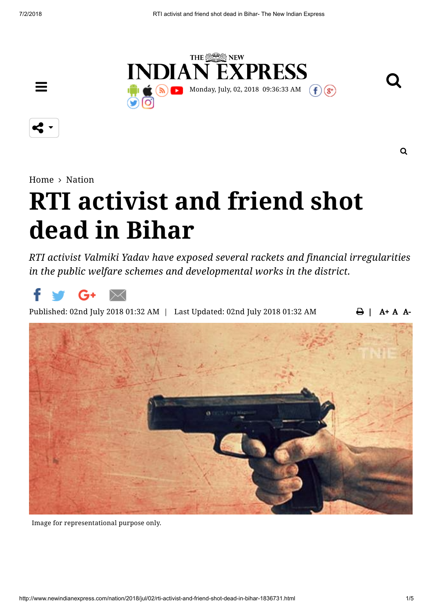

К,

 $\equiv$ 

[Home](http://www.newindianexpress.com/)  $>$  [Nation](http://www.newindianexpress.com/nation)

# **RTI activist and friend shot dead in Bihar**

*RTI activist Valmiki Yadav have exposed several rackets and financial irregularities in the public welfare schemes and developmental works in the district.*



 $\bigoplus$  | A + A A-Published: 02nd July 2018 01:32 AM | Last Updated: 02nd July 2018 01:32 AM



Image for representational purpose only.

 $\Omega$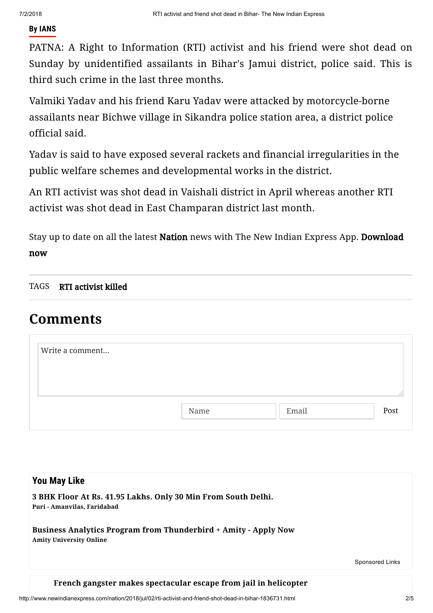#### **By IANS**

PATNA: A Right to Information (RTI) activist and his friend were shot dead on Sunday by unidentified assailants in Bihar's Jamui district, police said. This is third such crime in the last three months.

Valmiki Yadav and his friend Karu Yadav were attacked by motorcycle-borne assailants near Bichwe village in Sikandra police station area, a district police official said.

Yadav is said to have exposed several rackets and financial irregularities in the public welfare schemes and developmental works in the district.

An RTI activist was shot dead in Vaishali district in April whereas another RTI activist was shot dead in East Champaran district last month.

Stay up to date on all the latest [Nation](http://www.newindianexpress.com/nation) news with The New Indian Express App. [Download](https://play.google.com/store/apps/details?id=com.newindianexpress.news) now

TAGS [RTI activist killed](http://www.newindianexpress.com/topic/RTI_activist_killed)

## **Comments**

| Write a comment |      |       |      |
|-----------------|------|-------|------|
|                 |      |       |      |
|                 | Name | Email | Post |

| <b>You May Like</b>                                                                               |                 |
|---------------------------------------------------------------------------------------------------|-----------------|
| 3 BHK Floor At Rs. 41.95 Lakhs. Only 30 Min From South Delhi.<br>Puri - Amanvilas, Faridabad      |                 |
| Business Analytics Program from Thunderbird + Amity - Apply Now<br><b>Amity University Online</b> |                 |
|                                                                                                   | Sponsored Links |

#### **French gangster makes [spectacular](http://www.newindianexpress.com/world/2018/jul/02/french-gangster-makes-spectacular-escape-from-jail-in-helicopter-1836685.html) escape from jail in helicopter**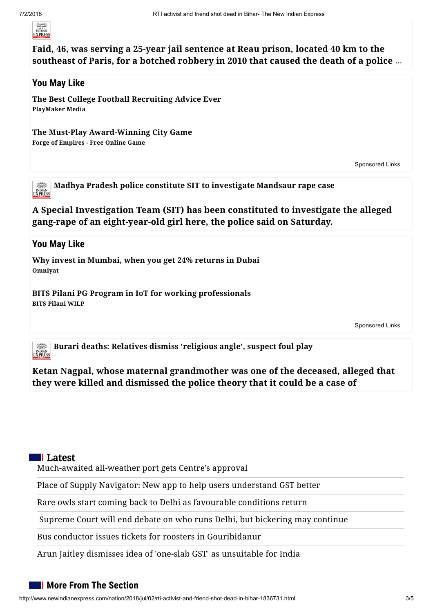

**Faid, 46, was serving a 25-year jail sentence at Reau prison, located 40 km to the [southeast](http://www.newindianexpress.com/world/2018/jul/02/french-gangster-makes-spectacular-escape-from-jail-in-helicopter-1836685.html) of Paris, for a botched robbery in 2010 that caused the death of a police** …

#### **You May Like**

**PlayMaker Media The Best College Football [Recruiting](http://www.bestfootballworkouts.com/?utm_source=taboola&utm_medium=referral) Advice Ever**

**The Must-Play [Award-Winning](https://om.forgeofempires.com/foe/?ref=tab_row_mktdet&&external_param=93738157&pid=newindianexpress-newindianexpresscom&bid=93738157) City Game**

**Forge of Empires - Free Online Game**

[Sponsored](http://popup.taboola.com/en/?template=colorbox&utm_source=newindianexpress-newindianexpresscom&utm_medium=referral&utm_content=thumbnails-feed-a:Below%20Article%20Thumbnails%20|%20Card%203:) Links

**Madhya Pradesh police constitute SIT to [investigate](http://www.newindianexpress.com/nation/2018/jul/01/madhya-pradesh-police-constitute-sit-to-investigate-mandsaur-rape-case-1836484.html) Mandsaur rape case INDIAN**<br>**EXPRESS** 

**A Special Investigation Team (SIT) has been constituted to investigate the alleged gang-rape of an [eight-year-old](http://www.newindianexpress.com/nation/2018/jul/01/madhya-pradesh-police-constitute-sit-to-investigate-mandsaur-rape-case-1836484.html) girl here, the police said on Saturday.**

#### **You May Like**

**Omniyat Why invest in [Mumbai,](http://www.omniyat.com/dubai-canal-residences-ind/?utm_source=LANGHAM-WISOFT-EN-INDIA&medium=banner&utm_content=Online-Banner&utm_campaign=LANGHAM-2018) when you get 24% returns in Dubai**

**BITS Pilani WILP BITS Pilani PG Program in IoT for working [professionals](https://bits-pilani-wilp.ac.in/post-graduate-programme-in-internet-of-things.php?utm_source=TB&utm_medium=Content_IOT&utm_campaign=WILP_2018)**

[Sponsored](http://popup.taboola.com/en/?template=colorbox&utm_source=newindianexpress-newindianexpresscom&utm_medium=referral&utm_content=thumbnails-feed-a:Below%20Article%20Thumbnails%20|%20Card%205:) Links

微微的 **Burari deaths: Relatives dismiss ['religious](http://www.newindianexpress.com/nation/2018/jul/02/burari-deaths-relatives-dismiss-religious-angle-suspect-foul-play-1836680.html) angle', suspect foul play INDIAN**<br>**EXPRESS** 

**Ketan Nagpal, whose maternal [grandmother](http://www.newindianexpress.com/nation/2018/jul/02/burari-deaths-relatives-dismiss-religious-angle-suspect-foul-play-1836680.html) was one of the deceased, alleged that they were killed and dismissed the police theory that it could be a case of**

#### ll Latest

[Much-awaited](http://www.newindianexpress.com/states/karnataka/2018/jul/02/much-awaited-all-weather-port-gets-centres-approval-1836864.html) all-weather port gets Centre's approval

Place of Supply Navigator: New app to help users [understand](http://www.newindianexpress.com/cities/bengaluru/2018/jul/02/place-of-supply-navigator-new-app-to-help-users-understand-gst-better-1836863.html) GST better

Rare owls start coming back to Delhi as [favourable](http://www.newindianexpress.com/cities/delhi/2018/jul/02/rare-owls-start-coming-back-to-delhi-as-favourable-conditions-return-1836854.html) conditions return

Supreme Court will end debate on who runs Delhi, but [bickering](http://www.newindianexpress.com/nation/2018/jul/02/supreme-court-will-end-debate-on-who-runs-delhi-but-bickering-may-continue-1836844.html) may continue

Bus conductor issues tickets for roosters in [Gouribidanur](http://www.newindianexpress.com/states/karnataka/2018/jul/02/bus-conductor-issues-tickets-for-roosters-in-gouribidanur-1836843.html)

Arun Jaitley dismisses idea of 'one-slab GST' as [unsuitable](http://www.newindianexpress.com/business/2018/jul/02/arun-jaitley-dismisses-idea-of-one-slab-gst-as-unsuitable-for-india-1836838.html) for India

#### **More From The Section**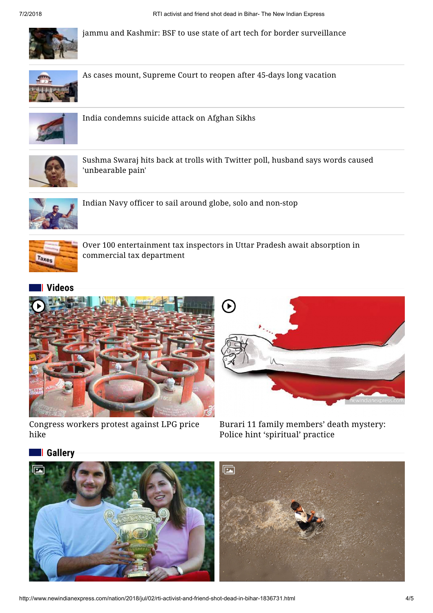

[j](http://www.newindianexpress.com/nation/2018/jul/02/jammu-and-kashmir-bsf-to-use-state-of-art-tech-for-border-surveillance-1836679.html)ammu and Kashmir: BSF to use state of art tech for border [surveillance](http://www.newindianexpress.com/nation/2018/jul/02/jammu-and-kashmir-bsf-to-use-state-of-art-tech-for-border-surveillance-1836679.html)



[A](http://www.newindianexpress.com/nation/2018/jul/02/as-cases-mount-supreme-court-to-reopen-after-45-days-long-vacation-1836677.html)s cases mount, [Supreme](http://www.newindianexpress.com/nation/2018/jul/02/as-cases-mount-supreme-court-to-reopen-after-45-days-long-vacation-1836677.html) Court to reopen after 45-days long vacation



[I](http://www.newindianexpress.com/nation/2018/jul/02/india-condemns-suicide-attack-on-afghan-sikhs-1836673.html)ndia [condemns](http://www.newindianexpress.com/nation/2018/jul/02/india-condemns-suicide-attack-on-afghan-sikhs-1836673.html) suicide attack on Afghan Sikhs



[S](http://www.newindianexpress.com/nation/2018/jul/02/sushma-swaraj-hits-back-at-trolls-with-twitter-poll-husband-says-words-caused-unbearable-pain-1836675.html)ushma Swaraj hits back at trolls with Twitter poll, husband says words caused ['unbearable](http://www.newindianexpress.com/nation/2018/jul/02/sushma-swaraj-hits-back-at-trolls-with-twitter-poll-husband-says-words-caused-unbearable-pain-1836675.html) pain'



[I](http://www.newindianexpress.com/nation/2018/jul/02/indian-navy-officer-to-sail-around-globe-solo-and-non-stop-1836669.html)ndian Navy officer to sail around globe, solo and [non-stop](http://www.newindianexpress.com/nation/2018/jul/02/indian-navy-officer-to-sail-around-globe-solo-and-non-stop-1836669.html)



[O](http://www.newindianexpress.com/nation/2018/jul/02/over-100-entertainment-tax-inspectors-in-uttar-pradesh-await-absorption-in-commercial-tax-department-1836621.html)ver 100 [entertainment](http://www.newindianexpress.com/nation/2018/jul/02/over-100-entertainment-tax-inspectors-in-uttar-pradesh-await-absorption-in-commercial-tax-department-1836621.html) tax inspectors in Uttar Pradesh await absorption in commercial tax department

### **[Videos](http://www.newindianexpress.com/videos)**



[Congress](http://www.newindianexpress.com/videos/videos-nation/2018/jul/01/congress-workers-protest-against-lpg-price-hike-104627.html) workers protest against LPG price hike



Burari 11 family [members'](http://www.newindianexpress.com/videos/videos-nation/2018/jul/01/burari-11-family-members-death-mystery-police-hint-spiritual-practice-104626.html) death mystery: Police hint 'spiritual' practice

#### **[Gallery](http://www.newindianexpress.com/galleries)**